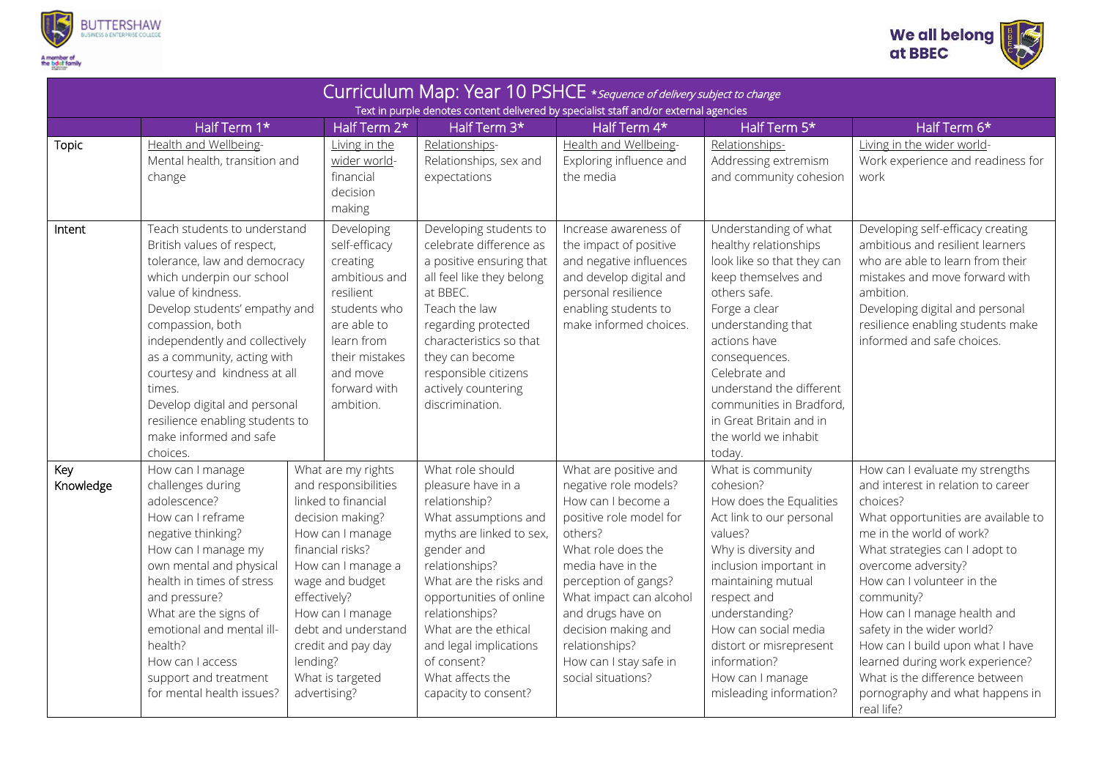



| Curriculum Map: Year 10 PSHCE * Sequence of delivery subject to change<br>Text in purple denotes content delivered by specialist staff and/or external agencies |                                                                                                                                                                                                                                                                                                                                                                                                                        |                                                                                                                                                                                                                                                                                                         |                                                                                                                                                                                                                                                                                                                                 |                                                                                                                                                                                                                                                                                                                        |                                                                                                                                                                                                                                                                                                                                   |                                                                                                                                                                                                                                                                                                                                                                                                                                                                                  |  |  |  |  |  |
|-----------------------------------------------------------------------------------------------------------------------------------------------------------------|------------------------------------------------------------------------------------------------------------------------------------------------------------------------------------------------------------------------------------------------------------------------------------------------------------------------------------------------------------------------------------------------------------------------|---------------------------------------------------------------------------------------------------------------------------------------------------------------------------------------------------------------------------------------------------------------------------------------------------------|---------------------------------------------------------------------------------------------------------------------------------------------------------------------------------------------------------------------------------------------------------------------------------------------------------------------------------|------------------------------------------------------------------------------------------------------------------------------------------------------------------------------------------------------------------------------------------------------------------------------------------------------------------------|-----------------------------------------------------------------------------------------------------------------------------------------------------------------------------------------------------------------------------------------------------------------------------------------------------------------------------------|----------------------------------------------------------------------------------------------------------------------------------------------------------------------------------------------------------------------------------------------------------------------------------------------------------------------------------------------------------------------------------------------------------------------------------------------------------------------------------|--|--|--|--|--|
|                                                                                                                                                                 | Half Term 1*                                                                                                                                                                                                                                                                                                                                                                                                           | Half Term 2*                                                                                                                                                                                                                                                                                            | Half Term 3*                                                                                                                                                                                                                                                                                                                    | Half Term 4*                                                                                                                                                                                                                                                                                                           | Half Term 5*                                                                                                                                                                                                                                                                                                                      | Half Term 6*                                                                                                                                                                                                                                                                                                                                                                                                                                                                     |  |  |  |  |  |
| <b>Topic</b>                                                                                                                                                    | Health and Wellbeing-<br>Mental health, transition and<br>change                                                                                                                                                                                                                                                                                                                                                       | Living in the<br>wider world-<br>financial<br>decision<br>making                                                                                                                                                                                                                                        | Relationships-<br>Relationships, sex and<br>expectations                                                                                                                                                                                                                                                                        | Health and Wellbeing-<br>Exploring influence and<br>the media                                                                                                                                                                                                                                                          | Relationships-<br>Addressing extremism<br>and community cohesion                                                                                                                                                                                                                                                                  | Living in the wider world-<br>Work experience and readiness for<br>work                                                                                                                                                                                                                                                                                                                                                                                                          |  |  |  |  |  |
| Intent                                                                                                                                                          | Teach students to understand<br>British values of respect,<br>tolerance, law and democracy<br>which underpin our school<br>value of kindness.<br>Develop students' empathy and<br>compassion, both<br>independently and collectively<br>as a community, acting with<br>courtesy and kindness at all<br>times.<br>Develop digital and personal<br>resilience enabling students to<br>make informed and safe<br>choices. | Developing<br>self-efficacy<br>creating<br>ambitious and<br>resilient<br>students who<br>are able to<br>learn from<br>their mistakes<br>and move<br>forward with<br>ambition.                                                                                                                           | Developing students to<br>celebrate difference as<br>a positive ensuring that<br>all feel like they belong<br>at BBEC.<br>Teach the law<br>regarding protected<br>characteristics so that<br>they can become<br>responsible citizens<br>actively countering<br>discrimination.                                                  | Increase awareness of<br>the impact of positive<br>and negative influences<br>and develop digital and<br>personal resilience<br>enabling students to<br>make informed choices.                                                                                                                                         | Understanding of what<br>healthy relationships<br>look like so that they can<br>keep themselves and<br>others safe.<br>Forge a clear<br>understanding that<br>actions have<br>consequences.<br>Celebrate and<br>understand the different<br>communities in Bradford,<br>in Great Britain and in<br>the world we inhabit<br>today. | Developing self-efficacy creating<br>ambitious and resilient learners<br>who are able to learn from their<br>mistakes and move forward with<br>ambition.<br>Developing digital and personal<br>resilience enabling students make<br>informed and safe choices.                                                                                                                                                                                                                   |  |  |  |  |  |
| Key<br>Knowledge                                                                                                                                                | How can I manage<br>challenges during<br>adolescence?<br>How can I reframe<br>negative thinking?<br>How can I manage my<br>own mental and physical<br>health in times of stress<br>and pressure?<br>What are the signs of<br>emotional and mental ill-<br>health?<br>How can I access<br>support and treatment<br>for mental health issues?                                                                            | What are my rights<br>and responsibilities<br>linked to financial<br>decision making?<br>How can I manage<br>financial risks?<br>How can I manage a<br>wage and budget<br>effectively?<br>How can I manage<br>debt and understand<br>credit and pay day<br>lending?<br>What is targeted<br>advertising? | What role should<br>pleasure have in a<br>relationship?<br>What assumptions and<br>myths are linked to sex,<br>gender and<br>relationships?<br>What are the risks and<br>opportunities of online<br>relationships?<br>What are the ethical<br>and legal implications<br>of consent?<br>What affects the<br>capacity to consent? | What are positive and<br>negative role models?<br>How can I become a<br>positive role model for<br>others?<br>What role does the<br>media have in the<br>perception of gangs?<br>What impact can alcohol<br>and drugs have on<br>decision making and<br>relationships?<br>How can I stay safe in<br>social situations? | What is community<br>cohesion?<br>How does the Equalities<br>Act link to our personal<br>values?<br>Why is diversity and<br>inclusion important in<br>maintaining mutual<br>respect and<br>understanding?<br>How can social media<br>distort or misrepresent<br>information?<br>How can I manage<br>misleading information?       | How can I evaluate my strengths<br>and interest in relation to career<br>choices?<br>What opportunities are available to<br>me in the world of work?<br>What strategies can I adopt to<br>overcome adversity?<br>How can I volunteer in the<br>community?<br>How can I manage health and<br>safety in the wider world?<br>How can I build upon what I have<br>learned during work experience?<br>What is the difference between<br>pornography and what happens in<br>real life? |  |  |  |  |  |